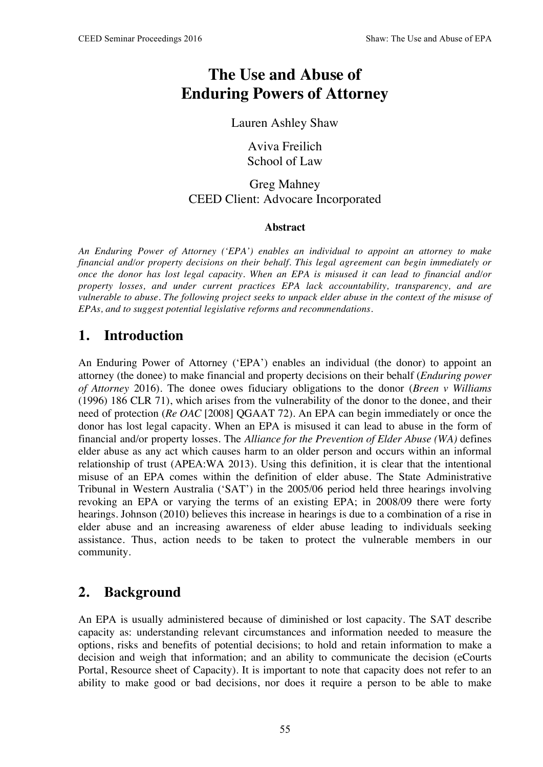# **The Use and Abuse of Enduring Powers of Attorney**

#### Lauren Ashley Shaw

Aviva Freilich School of Law

#### Greg Mahney CEED Client: Advocare Incorporated

#### **Abstract**

*An Enduring Power of Attorney ('EPA') enables an individual to appoint an attorney to make financial and/or property decisions on their behalf. This legal agreement can begin immediately or once the donor has lost legal capacity. When an EPA is misused it can lead to financial and/or property losses, and under current practices EPA lack accountability, transparency, and are vulnerable to abuse. The following project seeks to unpack elder abuse in the context of the misuse of EPAs, and to suggest potential legislative reforms and recommendations.* 

### **1. Introduction**

An Enduring Power of Attorney ('EPA') enables an individual (the donor) to appoint an attorney (the donee) to make financial and property decisions on their behalf (*Enduring power of Attorney* 2016). The donee owes fiduciary obligations to the donor (*Breen v Williams*  (1996) 186 CLR 71), which arises from the vulnerability of the donor to the donee, and their need of protection (*Re OAC* [2008] QGAAT 72). An EPA can begin immediately or once the donor has lost legal capacity. When an EPA is misused it can lead to abuse in the form of financial and/or property losses. The *Alliance for the Prevention of Elder Abuse (WA)* defines elder abuse as any act which causes harm to an older person and occurs within an informal relationship of trust (APEA:WA 2013). Using this definition, it is clear that the intentional misuse of an EPA comes within the definition of elder abuse. The State Administrative Tribunal in Western Australia ('SAT') in the 2005/06 period held three hearings involving revoking an EPA or varying the terms of an existing EPA; in 2008/09 there were forty hearings. Johnson (2010) believes this increase in hearings is due to a combination of a rise in elder abuse and an increasing awareness of elder abuse leading to individuals seeking assistance. Thus, action needs to be taken to protect the vulnerable members in our community.

### **2. Background**

An EPA is usually administered because of diminished or lost capacity. The SAT describe capacity as: understanding relevant circumstances and information needed to measure the options, risks and benefits of potential decisions; to hold and retain information to make a decision and weigh that information; and an ability to communicate the decision (eCourts Portal, Resource sheet of Capacity). It is important to note that capacity does not refer to an ability to make good or bad decisions, nor does it require a person to be able to make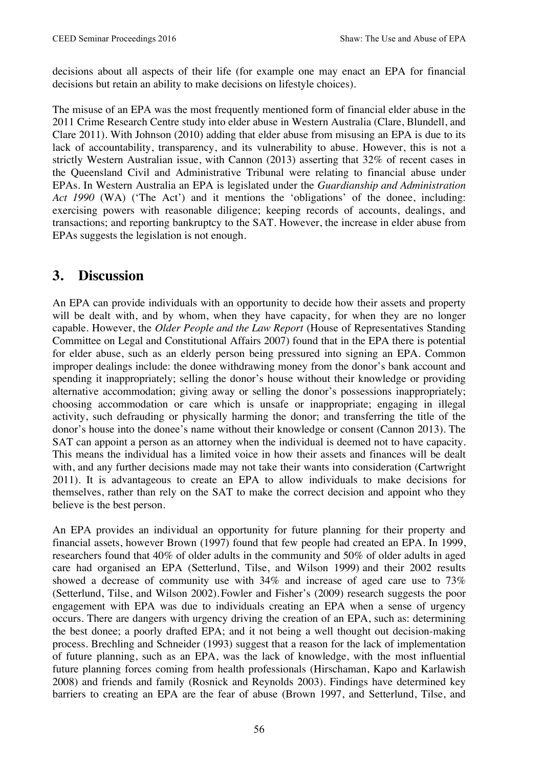decisions about all aspects of their life (for example one may enact an EPA for financial decisions but retain an ability to make decisions on lifestyle choices).

The misuse of an EPA was the most frequently mentioned form of financial elder abuse in the 2011 Crime Research Centre study into elder abuse in Western Australia (Clare, Blundell, and Clare 2011). With Johnson (2010) adding that elder abuse from misusing an EPA is due to its lack of accountability, transparency, and its vulnerability to abuse. However, this is not a strictly Western Australian issue, with Cannon (2013) asserting that 32% of recent cases in the Queensland Civil and Administrative Tribunal were relating to financial abuse under EPAs. In Western Australia an EPA is legislated under the *Guardianship and Administration Act 1990* (WA) ('The Act') and it mentions the 'obligations' of the donee, including: exercising powers with reasonable diligence; keeping records of accounts, dealings, and transactions; and reporting bankruptcy to the SAT. However, the increase in elder abuse from EPAs suggests the legislation is not enough.

#### **3. Discussion**

An EPA can provide individuals with an opportunity to decide how their assets and property will be dealt with, and by whom, when they have capacity, for when they are no longer capable. However, the *Older People and the Law Report* (House of Representatives Standing Committee on Legal and Constitutional Affairs 2007) found that in the EPA there is potential for elder abuse, such as an elderly person being pressured into signing an EPA. Common improper dealings include: the donee withdrawing money from the donor's bank account and spending it inappropriately; selling the donor's house without their knowledge or providing alternative accommodation; giving away or selling the donor's possessions inappropriately; choosing accommodation or care which is unsafe or inappropriate; engaging in illegal activity, such defrauding or physically harming the donor; and transferring the title of the donor's house into the donee's name without their knowledge or consent (Cannon 2013). The SAT can appoint a person as an attorney when the individual is deemed not to have capacity. This means the individual has a limited voice in how their assets and finances will be dealt with, and any further decisions made may not take their wants into consideration (Cartwright 2011). It is advantageous to create an EPA to allow individuals to make decisions for themselves, rather than rely on the SAT to make the correct decision and appoint who they believe is the best person.

An EPA provides an individual an opportunity for future planning for their property and financial assets, however Brown (1997) found that few people had created an EPA. In 1999, researchers found that 40% of older adults in the community and 50% of older adults in aged care had organised an EPA (Setterlund, Tilse, and Wilson 1999) and their 2002 results showed a decrease of community use with 34% and increase of aged care use to 73% (Setterlund, Tilse, and Wilson 2002). Fowler and Fisher's (2009) research suggests the poor engagement with EPA was due to individuals creating an EPA when a sense of urgency occurs. There are dangers with urgency driving the creation of an EPA, such as: determining the best donee; a poorly drafted EPA; and it not being a well thought out decision-making process. Brechling and Schneider (1993) suggest that a reason for the lack of implementation of future planning, such as an EPA, was the lack of knowledge, with the most influential future planning forces coming from health professionals (Hirschaman, Kapo and Karlawish 2008) and friends and family (Rosnick and Reynolds 2003). Findings have determined key barriers to creating an EPA are the fear of abuse (Brown 1997, and Setterlund, Tilse, and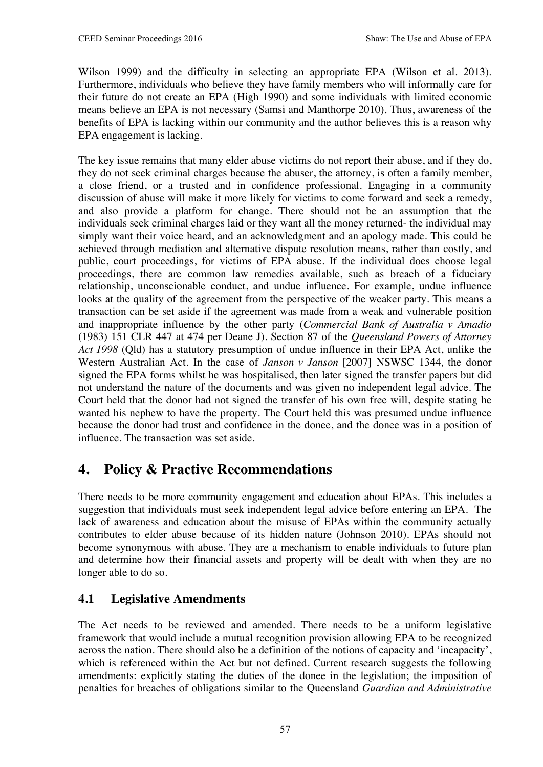Wilson 1999) and the difficulty in selecting an appropriate EPA (Wilson et al. 2013). Furthermore, individuals who believe they have family members who will informally care for their future do not create an EPA (High 1990) and some individuals with limited economic means believe an EPA is not necessary (Samsi and Manthorpe 2010). Thus, awareness of the benefits of EPA is lacking within our community and the author believes this is a reason why EPA engagement is lacking.

The key issue remains that many elder abuse victims do not report their abuse, and if they do, they do not seek criminal charges because the abuser, the attorney, is often a family member, a close friend, or a trusted and in confidence professional. Engaging in a community discussion of abuse will make it more likely for victims to come forward and seek a remedy, and also provide a platform for change. There should not be an assumption that the individuals seek criminal charges laid or they want all the money returned- the individual may simply want their voice heard, and an acknowledgment and an apology made. This could be achieved through mediation and alternative dispute resolution means, rather than costly, and public, court proceedings, for victims of EPA abuse. If the individual does choose legal proceedings, there are common law remedies available, such as breach of a fiduciary relationship, unconscionable conduct, and undue influence. For example, undue influence looks at the quality of the agreement from the perspective of the weaker party. This means a transaction can be set aside if the agreement was made from a weak and vulnerable position and inappropriate influence by the other party (*Commercial Bank of Australia v Amadio*  (1983) 151 CLR 447 at 474 per Deane J). Section 87 of the *Queensland Powers of Attorney Act 1998* (Qld) has a statutory presumption of undue influence in their EPA Act, unlike the Western Australian Act. In the case of *Janson v Janson* [2007] NSWSC 1344*,* the donor signed the EPA forms whilst he was hospitalised, then later signed the transfer papers but did not understand the nature of the documents and was given no independent legal advice. The Court held that the donor had not signed the transfer of his own free will, despite stating he wanted his nephew to have the property. The Court held this was presumed undue influence because the donor had trust and confidence in the donee, and the donee was in a position of influence. The transaction was set aside.

# **4. Policy & Practive Recommendations**

There needs to be more community engagement and education about EPAs. This includes a suggestion that individuals must seek independent legal advice before entering an EPA. The lack of awareness and education about the misuse of EPAs within the community actually contributes to elder abuse because of its hidden nature (Johnson 2010). EPAs should not become synonymous with abuse. They are a mechanism to enable individuals to future plan and determine how their financial assets and property will be dealt with when they are no longer able to do so.

#### **4.1 Legislative Amendments**

The Act needs to be reviewed and amended. There needs to be a uniform legislative framework that would include a mutual recognition provision allowing EPA to be recognized across the nation. There should also be a definition of the notions of capacity and 'incapacity', which is referenced within the Act but not defined. Current research suggests the following amendments: explicitly stating the duties of the donee in the legislation; the imposition of penalties for breaches of obligations similar to the Queensland *Guardian and Administrative*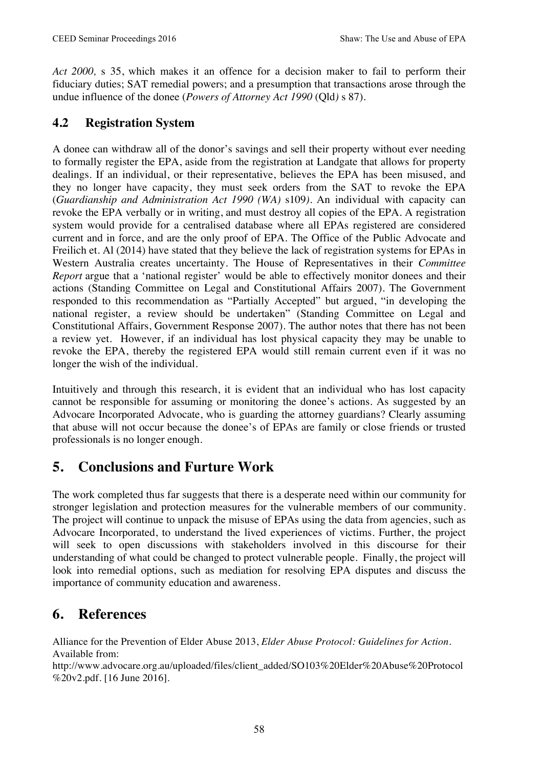*Act 2000,* s 35, which makes it an offence for a decision maker to fail to perform their fiduciary duties; SAT remedial powers; and a presumption that transactions arose through the undue influence of the donee (*Powers of Attorney Act 1990* (Qld*)* s 87).

#### **4.2 Registration System**

A donee can withdraw all of the donor's savings and sell their property without ever needing to formally register the EPA, aside from the registration at Landgate that allows for property dealings. If an individual, or their representative, believes the EPA has been misused, and they no longer have capacity, they must seek orders from the SAT to revoke the EPA (*Guardianship and Administration Act 1990 (WA)* s109*).* An individual with capacity can revoke the EPA verbally or in writing, and must destroy all copies of the EPA. A registration system would provide for a centralised database where all EPAs registered are considered current and in force, and are the only proof of EPA. The Office of the Public Advocate and Freilich et. Al (2014) have stated that they believe the lack of registration systems for EPAs in Western Australia creates uncertainty. The House of Representatives in their *Committee Report* argue that a 'national register' would be able to effectively monitor donees and their actions (Standing Committee on Legal and Constitutional Affairs 2007). The Government responded to this recommendation as "Partially Accepted" but argued, "in developing the national register, a review should be undertaken" (Standing Committee on Legal and Constitutional Affairs, Government Response 2007). The author notes that there has not been a review yet. However, if an individual has lost physical capacity they may be unable to revoke the EPA, thereby the registered EPA would still remain current even if it was no longer the wish of the individual.

Intuitively and through this research, it is evident that an individual who has lost capacity cannot be responsible for assuming or monitoring the donee's actions. As suggested by an Advocare Incorporated Advocate, who is guarding the attorney guardians? Clearly assuming that abuse will not occur because the donee's of EPAs are family or close friends or trusted professionals is no longer enough.

# **5. Conclusions and Furture Work**

The work completed thus far suggests that there is a desperate need within our community for stronger legislation and protection measures for the vulnerable members of our community. The project will continue to unpack the misuse of EPAs using the data from agencies, such as Advocare Incorporated, to understand the lived experiences of victims. Further, the project will seek to open discussions with stakeholders involved in this discourse for their understanding of what could be changed to protect vulnerable people. Finally, the project will look into remedial options, such as mediation for resolving EPA disputes and discuss the importance of community education and awareness.

### **6. References**

Alliance for the Prevention of Elder Abuse 2013, *Elder Abuse Protocol: Guidelines for Action*. Available from:

http://www.advocare.org.au/uploaded/files/client\_added/SO103%20Elder%20Abuse%20Protocol %20v2.pdf. [16 June 2016].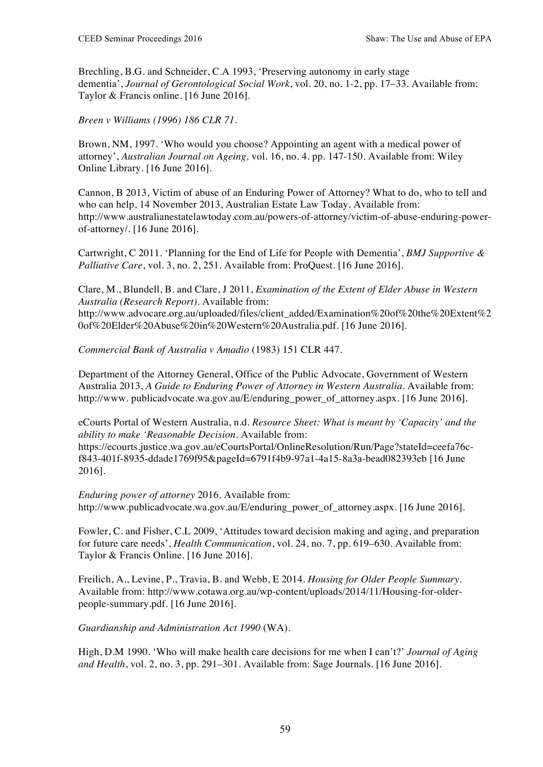Brechling, B.G. and Schneider, C.A 1993, 'Preserving autonomy in early stage dementia', *Journal of Gerontological Social Work*, vol. 20, no. 1-2, pp. 17–33. Available from: Taylor & Francis online. [16 June 2016].

*Breen v Williams (1996) 186 CLR 71*.

Brown, NM, 1997. 'Who would you choose? Appointing an agent with a medical power of attorney', *Australian Journal on Ageing,* vol. 16, no. 4. pp. 147-150. Available from: Wiley Online Library. [16 June 2016].

Cannon, B 2013, Victim of abuse of an Enduring Power of Attorney? What to do, who to tell and who can help, 14 November 2013, Australian Estate Law Today. Available from: http://www.australianestatelawtoday.com.au/powers-of-attorney/victim-of-abuse-enduring-powerof-attorney/. [16 June 2016].

Cartwright, C 2011. 'Planning for the End of Life for People with Dementia', *BMJ Supportive & Palliative Care*, vol. 3, no. 2, 251. Available from: ProQuest. [16 June 2016].

Clare, M., Blundell, B. and Clare, J 2011, *Examination of the Extent of Elder Abuse in Western Australia (Research Report)*. Available from: http://www.advocare.org.au/uploaded/files/client\_added/Examination%20of%20the%20Extent%2 0of%20Elder%20Abuse%20in%20Western%20Australia.pdf. [16 June 2016].

*Commercial Bank of Australia v Amadio* (1983) 151 CLR 447.

Department of the Attorney General, Office of the Public Advocate, Government of Western Australia 2013, *A Guide to Enduring Power of Attorney in Western Australia*. Available from: http://www.publicadvocate.wa.gov.au/E/enduring\_power\_of\_attorney.aspx. [16 June 2016].

eCourts Portal of Western Australia, n.d. *Resource Sheet: What is meant by 'Capacity' and the ability to make 'Reasonable Decision.* Available from:

https://ecourts.justice.wa.gov.au/eCourtsPortal/OnlineResolution/Run/Page?stateId=ceefa76cf843-401f-8935-ddade1769f95&pageId=6791f4b9-97a1-4a15-8a3a-bead082393eb [16 June 2016].

*Enduring power of attorney* 2016. Available from: http://www.publicadvocate.wa.gov.au/E/enduring\_power\_of\_attorney.aspx. [16 June 2016].

Fowler, C. and Fisher, C.L 2009, 'Attitudes toward decision making and aging, and preparation for future care needs', *Health Communication*, vol. 24, no. 7, pp. 619–630. Available from: Taylor & Francis Online. [16 June 2016].

Freilich, A., Levine, P., Travia, B. and Webb, E 2014. *Housing for Older People Summary*. Available from: http://www.cotawa.org.au/wp-content/uploads/2014/11/Housing-for-olderpeople-summary.pdf. [16 June 2016].

*Guardianship and Administration Act 1990* (WA).

High, D.M 1990. 'Who will make health care decisions for me when I can't?' *Journal of Aging and Health*, vol. 2, no. 3, pp. 291–301. Available from: Sage Journals. [16 June 2016].